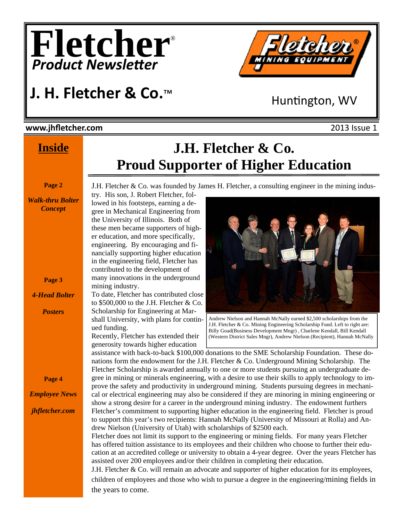



## **J. H. Fletcher & Co.**™

Huntington, WV

#### **www.jhfletcher.com** 2013 Issue 1

#### **Inside**

**Page 2** 

*Walk-thru Bolter Concept*

**Page 3** 

*4-Head Bolter* 

*Posters* 

### **J.H. Fletcher & Co. Proud Supporter of Higher Education**

J.H. Fletcher & Co. was founded by James H. Fletcher, a consulting engineer in the mining indus-

try. His son, J. Robert Fletcher, followed in his footsteps, earning a degree in Mechanical Engineering from the University of Illinois. Both of these men became supporters of higher education, and more specifically, engineering. By encouraging and financially supporting higher education in the engineering field, Fletcher has contributed to the development of many innovations in the underground mining industry.

To date, Fletcher has contributed close to  $$500,000$  to the J.H. Fletcher & Co. Scholarship for Engineering at Marshall University, with plans for continued funding.

Recently, Fletcher has extended their generosity towards higher education



Andrew Nielson and Hannah McNally earned \$2,500 scholarships from the J.H. Fletcher & Co. Mining Engineering Scholarship Fund. Left to right are: Billy Goad(Business Development Mngr) , Charlene Kendall, Bill Kendall (Western District Sales Mngr), Andrew Nielson (Recipient), Hannah McNally

assistance with back-to-back \$100,000 donations to the SME Scholarship Foundation. These donations form the endowment for the J.H. Fletcher & Co. Underground Mining Scholarship. The Fletcher Scholarship is awarded annually to one or more students pursuing an undergraduate degree in mining or minerals engineering, with a desire to use their skills to apply technology to improve the safety and productivity in underground mining. Students pursuing degrees in mechanical or electrical engineering may also be considered if they are minoring in mining engineering or show a strong desire for a career in the underground mining industry. The endowment furthers Fletcher's commitment to supporting higher education in the engineering field. Fletcher is proud to support this year's two recipients: Hannah McNally (University of Missouri at Rolla) and Andrew Nielson (University of Utah) with scholarships of \$2500 each.

Fletcher does not limit its support to the engineering or mining fields. For many years Fletcher has offered tuition assistance to its employees and their children who choose to further their education at an accredited college or university to obtain a 4-year degree. Over the years Fletcher has assisted over 200 employees and/or their children in completing their education.

J.H. Fletcher & Co. will remain an advocate and supporter of higher education for its employees, children of employees and those who wish to pursue a degree in the engineering/mining fields in the years to come.

**Page 4** 

*Employee News jhfletcher.com*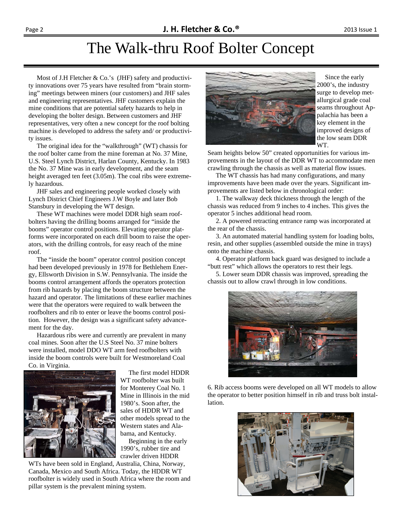#### The Walk-thru Roof Bolter Concept

 Most of J.H Fletcher & Co.'s (JHF) safety and productivity innovations over 75 years have resulted from "brain storming" meetings between miners (our customers) and JHF sales and engineering representatives. JHF customers explain the mine conditions that are potential safety hazards to help in developing the bolter design. Between customers and JHF representatives, very often a new concept for the roof bolting machine is developed to address the safety and/ or productivity issues.

 The original idea for the "walkthrough" (WT) chassis for the roof bolter came from the mine foreman at No. 37 Mine, U.S. Steel Lynch District, Harlan County, Kentucky. In 1983 the No. 37 Mine was in early development, and the seam height averaged ten feet (3.05m). The coal ribs were extremely hazardous.

 JHF sales and engineering people worked closely with Lynch District Chief Engineers J.W Boyle and later Bob Stansbury in developing the WT design.

 These WT machines were model DDR high seam roofbolters having the drilling booms arranged for "inside the booms" operator control positions. Elevating operator platforms were incorporated on each drill boom to raise the operators, with the drilling controls, for easy reach of the mine roof.

 The "inside the boom" operator control position concept had been developed previously in 1978 for Bethlehem Energy, Ellsworth Division in S.W. Pennsylvania. The inside the booms control arrangement affords the operators protection from rib hazards by placing the boom structure between the hazard and operator. The limitations of these earlier machines were that the operators were required to walk between the roofbolters and rib to enter or leave the booms control position. However, the design was a significant safety advancement for the day.

 Hazardous ribs were and currently are prevalent in many coal mines. Soon after the U.S Steel No. 37 mine bolters were installed, model DDO WT arm feed roofbolters with inside the boom controls were built for Westmoreland Coal Co. in Virginia.



 The first model HDDR WT roofbolter was built for Monterey Coal No. 1 Mine in Illinois in the mid 1980's. Soon after, the sales of HDDR WT and other models spread to the Western states and Alabama, and Kentucky.

 Beginning in the early 1990's, rubber tire and crawler driven HDDR

WTs have been sold in England, Australia, China, Norway, Canada, Mexico and South Africa. Today, the HDDR WT roofbolter is widely used in South Africa where the room and pillar system is the prevalent mining system.



 Since the early 2000's, the industry surge to develop metallurgical grade coal seams throughout Appalachia has been a key element in the improved designs of the low seam DDR WT.

Seam heights below 50" created opportunities for various improvements in the layout of the DDR WT to accommodate men crawling through the chassis as well as material flow issues.

 The WT chassis has had many configurations, and many improvements have been made over the years. Significant improvements are listed below in chronological order:

 1. The walkway deck thickness through the length of the chassis was reduced from 9 inches to 4 inches. This gives the operator 5 inches additional head room.

 2. A powered retracting entrance ramp was incorporated at the rear of the chassis.

 3. An automated material handling system for loading bolts, resin, and other supplies (assembled outside the mine in trays) onto the machine chassis.

 4. Operator platform back guard was designed to include a "butt rest" which allows the operators to rest their legs.

 5. Lower seam DDR chassis was improved, spreading the chassis out to allow crawl through in low conditions.



6. Rib access booms were developed on all WT models to allow the operator to better position himself in rib and truss bolt installation.

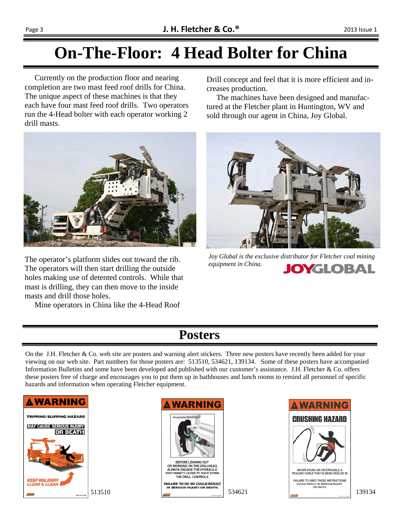## **On-The-Floor: 4 Head Bolter for China**

 Currently on the production floor and nearing completion are two mast feed roof drills for China. The unique aspect of these machines is that they each have four mast feed roof drills. Two operators run the 4-Head bolter with each operator working 2 drill masts.



The operator's platform slides out toward the rib. The operators will then start drilling the outside holes making use of detented controls. While that mast is drilling, they can then move to the inside masts and drill those holes.

Mine operators in China like the 4-Head Roof

Drill concept and feel that it is more efficient and increases production.

 The machines have been designed and manufactured at the Fletcher plant in Huntington, WV and sold through our agent in China, Joy Global.



*Joy Global is the exclusive distributor for Fletcher coal mining equipment in China.* **JOYGLOBAL** 

#### **Posters**

On the J.H. Fletcher & Co. web site are posters and warning alert stickers. Three new posters have recently been added for your viewing on our web site. Part numbers for those posters are: 513510, 534621, 139134. Some of these posters have accompanied Information Bulletins and some have been developed and published with our customer's assistance. J.H. Fletcher & Co. offers these posters free of charge and encourages you to put them up in bathhouses and lunch rooms to remind all personnel of specific hazards and information when operating Fletcher equipment.